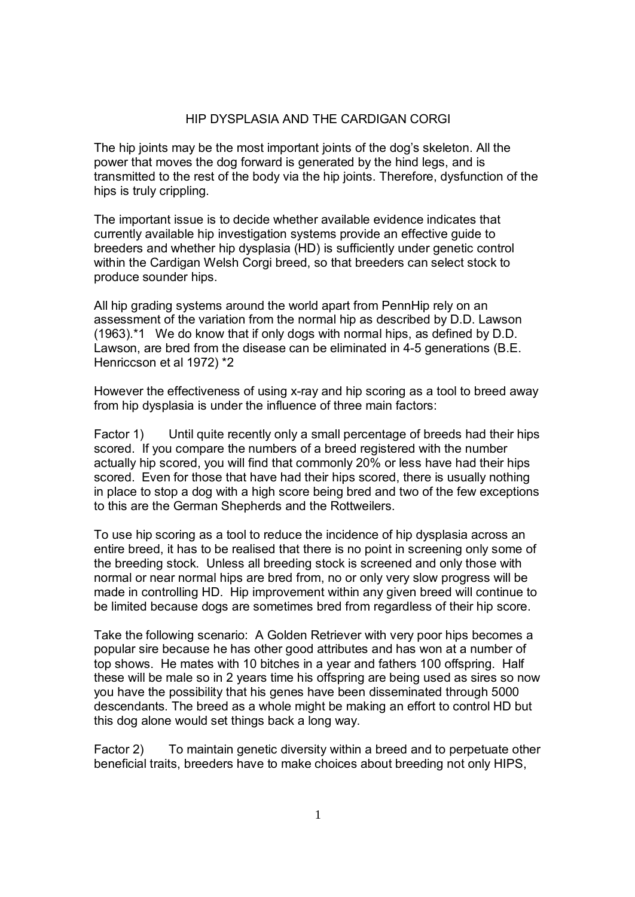### HIP DYSPLASIA AND THE CARDIGAN CORGI

The hip joints may be the most important joints of the dog's skeleton. All the power that moves the dog forward is generated by the hind legs, and is transmitted to the rest of the body via the hip joints. Therefore, dysfunction of the hips is truly crippling.

The important issue is to decide whether available evidence indicates that currently available hip investigation systems provide an effective guide to breeders and whether hip dysplasia (HD) is sufficiently under genetic control within the Cardigan Welsh Corgi breed, so that breeders can select stock to produce sounder hips.

All hip grading systems around the world apart from PennHip rely on an assessment of the variation from the normal hip as described by D.D. Lawson (1963).\*1 We do know that if only dogs with normal hips, as defined by D.D. Lawson, are bred from the disease can be eliminated in 4-5 generations (B.E. Henriccson et al 1972) \*2

However the effectiveness of using x-ray and hip scoring as a tool to breed away from hip dysplasia is under the influence of three main factors:

Factor 1) Until quite recently only a small percentage of breeds had their hips scored. If you compare the numbers of a breed registered with the number actually hip scored, you will find that commonly 20% or less have had their hips scored. Even for those that have had their hips scored, there is usually nothing in place to stop a dog with a high score being bred and two of the few exceptions to this are the German Shepherds and the Rottweilers.

To use hip scoring as a tool to reduce the incidence of hip dysplasia across an entire breed, it has to be realised that there is no point in screening only some of the breeding stock. Unless all breeding stock is screened and only those with normal or near normal hips are bred from, no or only very slow progress will be made in controlling HD. Hip improvement within any given breed will continue to be limited because dogs are sometimes bred from regardless of their hip score.

Take the following scenario: A Golden Retriever with very poor hips becomes a popular sire because he has other good attributes and has won at a number of top shows. He mates with 10 bitches in a year and fathers 100 offspring. Half these will be male so in 2 years time his offspring are being used as sires so now you have the possibility that his genes have been disseminated through 5000 descendants. The breed as a whole might be making an effort to control HD but this dog alone would set things back a long way.

Factor 2) To maintain genetic diversity within a breed and to perpetuate other beneficial traits, breeders have to make choices about breeding not only HIPS,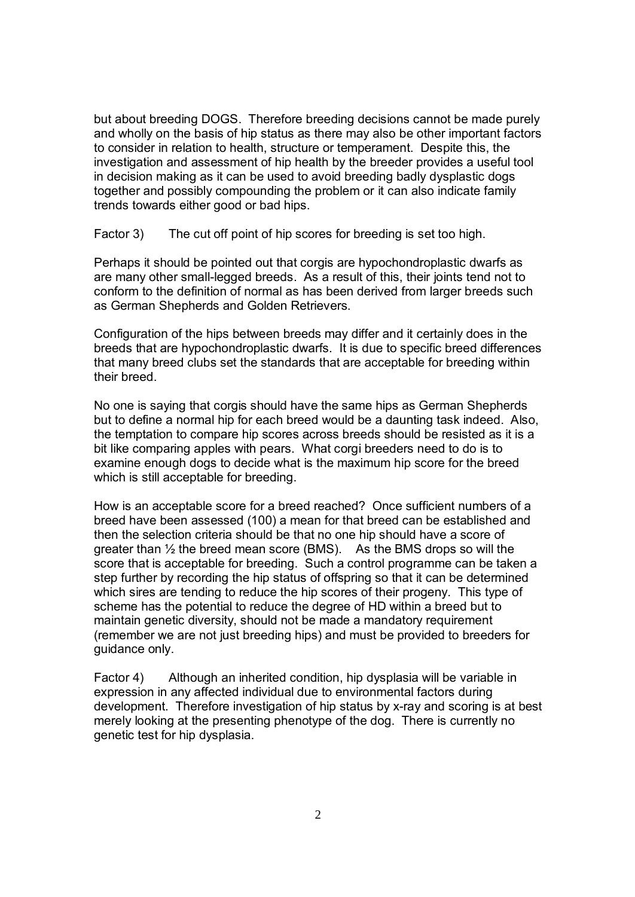but about breeding DOGS. Therefore breeding decisions cannot be made purely and wholly on the basis of hip status as there may also be other important factors to consider in relation to health, structure or temperament. Despite this, the investigation and assessment of hip health by the breeder provides a useful tool in decision making as it can be used to avoid breeding badly dysplastic dogs together and possibly compounding the problem or it can also indicate family trends towards either good or bad hips.

Factor 3) The cut off point of hip scores for breeding is set too high.

Perhaps it should be pointed out that corgis are hypochondroplastic dwarfs as are many other small-legged breeds. As a result of this, their joints tend not to conform to the definition of normal as has been derived from larger breeds such as German Shepherds and Golden Retrievers.

Configuration of the hips between breeds may differ and it certainly does in the breeds that are hypochondroplastic dwarfs. It is due to specific breed differences that many breed clubs set the standards that are acceptable for breeding within their breed.

No one is saying that corgis should have the same hips as German Shepherds but to define a normal hip for each breed would be a daunting task indeed. Also, the temptation to compare hip scores across breeds should be resisted as it is a bit like comparing apples with pears. What corgi breeders need to do is to examine enough dogs to decide what is the maximum hip score for the breed which is still acceptable for breeding.

How is an acceptable score for a breed reached? Once sufficient numbers of a breed have been assessed (100) a mean for that breed can be established and then the selection criteria should be that no one hip should have a score of greater than ½ the breed mean score (BMS). As the BMS drops so will the score that is acceptable for breeding. Such a control programme can be taken a step further by recording the hip status of offspring so that it can be determined which sires are tending to reduce the hip scores of their progeny. This type of scheme has the potential to reduce the degree of HD within a breed but to maintain genetic diversity, should not be made a mandatory requirement (remember we are not just breeding hips) and must be provided to breeders for guidance only.

Factor 4) Although an inherited condition, hip dysplasia will be variable in expression in any affected individual due to environmental factors during development. Therefore investigation of hip status by x-ray and scoring is at best merely looking at the presenting phenotype of the dog. There is currently no genetic test for hip dysplasia.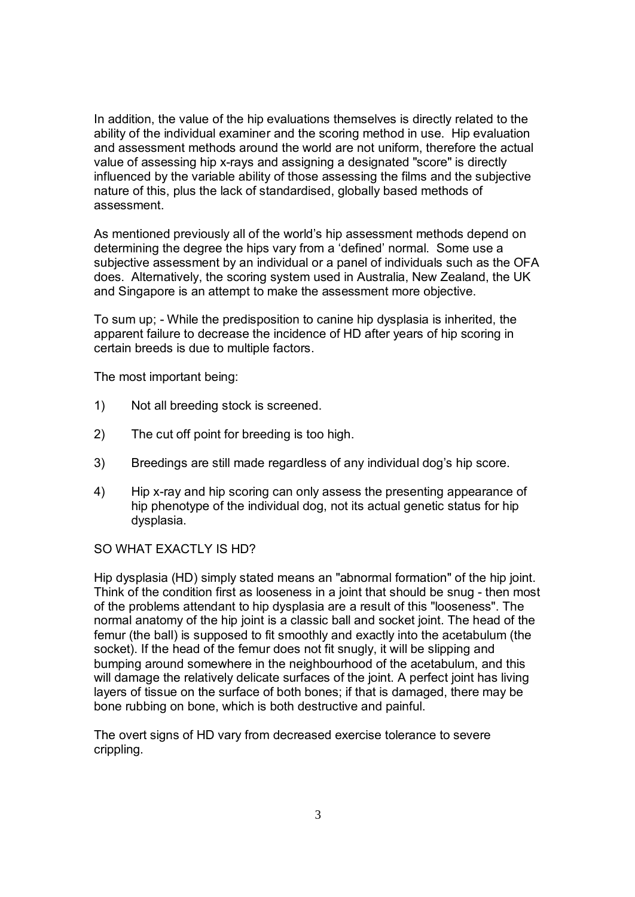In addition, the value of the hip evaluations themselves is directly related to the ability of the individual examiner and the scoring method in use. Hip evaluation and assessment methods around the world are not uniform, therefore the actual value of assessing hip x-rays and assigning a designated "score" is directly influenced by the variable ability of those assessing the films and the subjective nature of this, plus the lack of standardised, globally based methods of assessment.

As mentioned previously all of the world's hip assessment methods depend on determining the degree the hips vary from a 'defined' normal. Some use a subjective assessment by an individual or a panel of individuals such as the OFA does. Alternatively, the scoring system used in Australia, New Zealand, the UK and Singapore is an attempt to make the assessment more objective.

To sum up; - While the predisposition to canine hip dysplasia is inherited, the apparent failure to decrease the incidence of HD after years of hip scoring in certain breeds is due to multiple factors.

The most important being:

- 1) Not all breeding stock is screened.
- 2) The cut off point for breeding is too high.
- 3) Breedings are still made regardless of any individual dog's hip score.
- 4) Hip x-ray and hip scoring can only assess the presenting appearance of hip phenotype of the individual dog, not its actual genetic status for hip dysplasia.

# SO WHAT EXACTLY IS HD?

Hip dysplasia (HD) simply stated means an "abnormal formation" of the hip joint. Think of the condition first as looseness in a joint that should be snug - then most of the problems attendant to hip dysplasia are a result of this "looseness". The normal anatomy of the hip joint is a classic ball and socket joint. The head of the femur (the ball) is supposed to fit smoothly and exactly into the acetabulum (the socket). If the head of the femur does not fit snugly, it will be slipping and bumping around somewhere in the neighbourhood of the acetabulum, and this will damage the relatively delicate surfaces of the joint. A perfect joint has living layers of tissue on the surface of both bones; if that is damaged, there may be bone rubbing on bone, which is both destructive and painful.

The overt signs of HD vary from decreased exercise tolerance to severe crippling.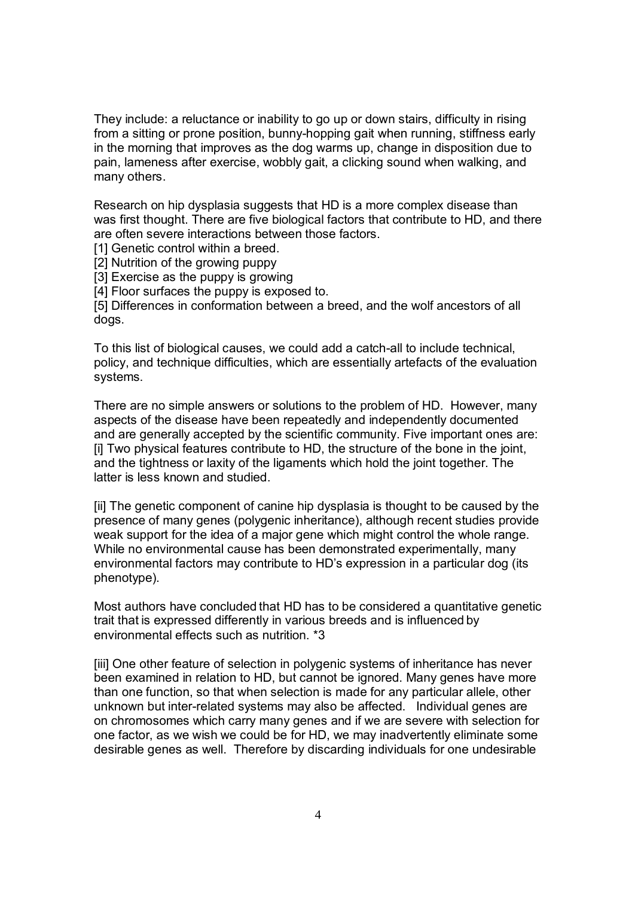They include: a reluctance or inability to go up or down stairs, difficulty in rising from a sitting or prone position, bunny-hopping gait when running, stiffness early in the morning that improves as the dog warms up, change in disposition due to pain, lameness after exercise, wobbly gait, a clicking sound when walking, and many others.

Research on hip dysplasia suggests that HD is a more complex disease than was first thought. There are five biological factors that contribute to HD, and there are often severe interactions between those factors.

[1] Genetic control within a breed.

[2] Nutrition of the growing puppy

[3] Exercise as the puppy is growing

[4] Floor surfaces the puppy is exposed to.

[5] Differences in conformation between a breed, and the wolf ancestors of all dogs.

To this list of biological causes, we could add a catch-all to include technical, policy, and technique difficulties, which are essentially artefacts of the evaluation systems.

There are no simple answers or solutions to the problem of HD. However, many aspects of the disease have been repeatedly and independently documented and are generally accepted by the scientific community. Five important ones are: [i] Two physical features contribute to HD, the structure of the bone in the joint, and the tightness or laxity of the ligaments which hold the joint together. The latter is less known and studied.

[ii] The genetic component of canine hip dysplasia is thought to be caused by the presence of many genes (polygenic inheritance), although recent studies provide weak support for the idea of a major gene which might control the whole range. While no environmental cause has been demonstrated experimentally, many environmental factors may contribute to HD's expression in a particular dog (its phenotype).

Most authors have concluded that HD has to be considered a quantitative genetic trait that is expressed differently in various breeds and is influenced by environmental effects such as nutrition. \*3

[iii] One other feature of selection in polygenic systems of inheritance has never been examined in relation to HD, but cannot be ignored. Many genes have more than one function, so that when selection is made for any particular allele, other unknown but inter-related systems may also be affected. Individual genes are on chromosomes which carry many genes and if we are severe with selection for one factor, as we wish we could be for HD, we may inadvertently eliminate some desirable genes as well. Therefore by discarding individuals for one undesirable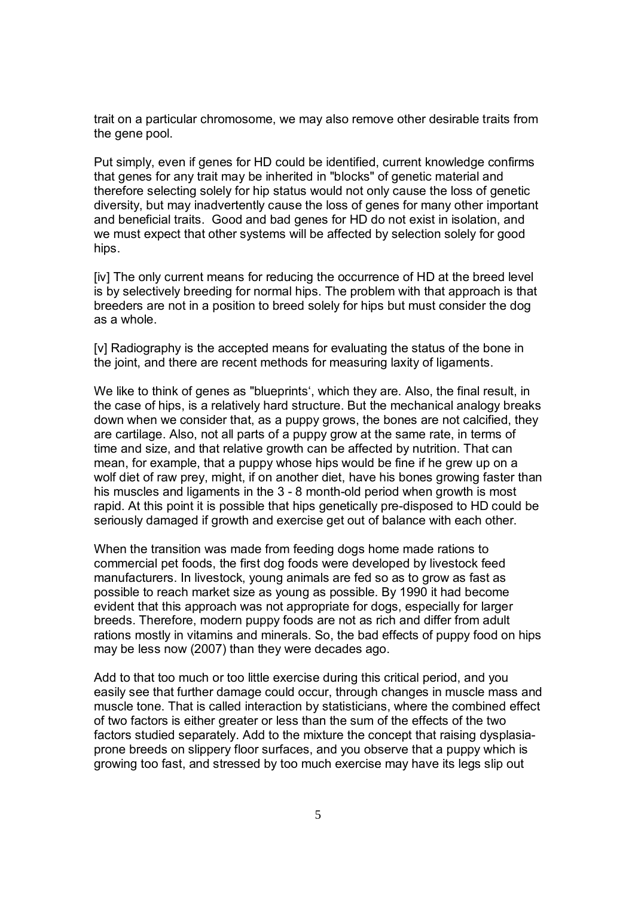trait on a particular chromosome, we may also remove other desirable traits from the gene pool.

Put simply, even if genes for HD could be identified, current knowledge confirms that genes for any trait may be inherited in "blocks" of genetic material and therefore selecting solely for hip status would not only cause the loss of genetic diversity, but may inadvertently cause the loss of genes for many other important and beneficial traits. Good and bad genes for HD do not exist in isolation, and we must expect that other systems will be affected by selection solely for good hips.

[iv] The only current means for reducing the occurrence of HD at the breed level is by selectively breeding for normal hips. The problem with that approach is that breeders are not in a position to breed solely for hips but must consider the dog as a whole.

[v] Radiography is the accepted means for evaluating the status of the bone in the joint, and there are recent methods for measuring laxity of ligaments.

We like to think of genes as "blueprints', which they are. Also, the final result, in the case of hips, is a relatively hard structure. But the mechanical analogy breaks down when we consider that, as a puppy grows, the bones are not calcified, they are cartilage. Also, not all parts of a puppy grow at the same rate, in terms of time and size, and that relative growth can be affected by nutrition. That can mean, for example, that a puppy whose hips would be fine if he grew up on a wolf diet of raw prey, might, if on another diet, have his bones growing faster than his muscles and ligaments in the 3 - 8 month-old period when growth is most rapid. At this point it is possible that hips genetically pre-disposed to HD could be seriously damaged if growth and exercise get out of balance with each other.

When the transition was made from feeding dogs home made rations to commercial pet foods, the first dog foods were developed by livestock feed manufacturers. In livestock, young animals are fed so as to grow as fast as possible to reach market size as young as possible. By 1990 it had become evident that this approach was not appropriate for dogs, especially for larger breeds. Therefore, modern puppy foods are not as rich and differ from adult rations mostly in vitamins and minerals. So, the bad effects of puppy food on hips may be less now (2007) than they were decades ago.

Add to that too much or too little exercise during this critical period, and you easily see that further damage could occur, through changes in muscle mass and muscle tone. That is called interaction by statisticians, where the combined effect of two factors is either greater or less than the sum of the effects of the two factors studied separately. Add to the mixture the concept that raising dysplasiaprone breeds on slippery floor surfaces, and you observe that a puppy which is growing too fast, and stressed by too much exercise may have its legs slip out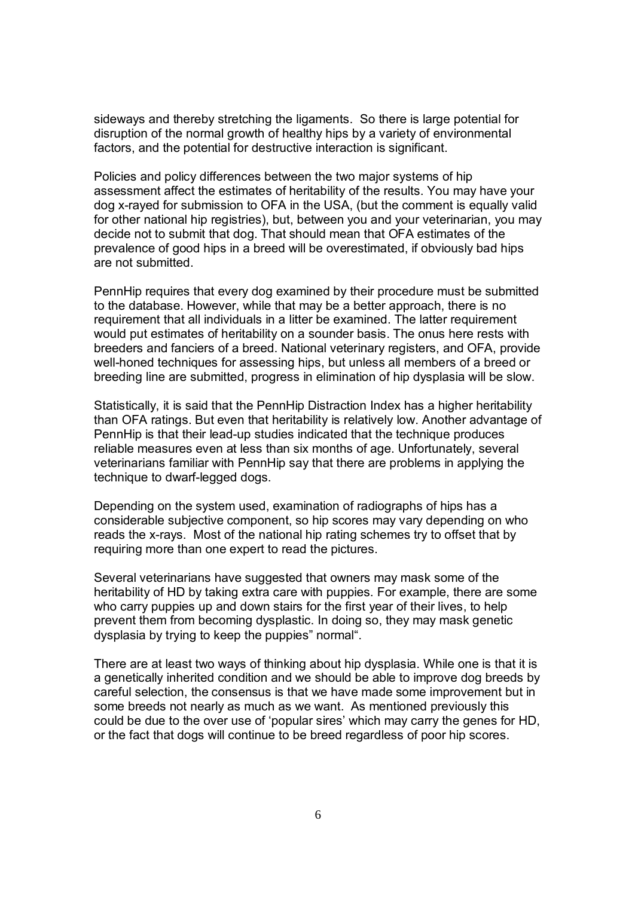sideways and thereby stretching the ligaments. So there is large potential for disruption of the normal growth of healthy hips by a variety of environmental factors, and the potential for destructive interaction is significant.

Policies and policy differences between the two major systems of hip assessment affect the estimates of heritability of the results. You may have your dog x-rayed for submission to OFA in the USA, (but the comment is equally valid for other national hip registries), but, between you and your veterinarian, you may decide not to submit that dog. That should mean that OFA estimates of the prevalence of good hips in a breed will be overestimated, if obviously bad hips are not submitted.

PennHip requires that every dog examined by their procedure must be submitted to the database. However, while that may be a better approach, there is no requirement that all individuals in a litter be examined. The latter requirement would put estimates of heritability on a sounder basis. The onus here rests with breeders and fanciers of a breed. National veterinary registers, and OFA, provide well-honed techniques for assessing hips, but unless all members of a breed or breeding line are submitted, progress in elimination of hip dysplasia will be slow.

Statistically, it is said that the PennHip Distraction Index has a higher heritability than OFA ratings. But even that heritability is relatively low. Another advantage of PennHip is that their lead-up studies indicated that the technique produces reliable measures even at less than six months of age. Unfortunately, several veterinarians familiar with PennHip say that there are problems in applying the technique to dwarf-legged dogs.

Depending on the system used, examination of radiographs of hips has a considerable subjective component, so hip scores may vary depending on who reads the x-rays. Most of the national hip rating schemes try to offset that by requiring more than one expert to read the pictures.

Several veterinarians have suggested that owners may mask some of the heritability of HD by taking extra care with puppies. For example, there are some who carry puppies up and down stairs for the first year of their lives, to help prevent them from becoming dysplastic. In doing so, they may mask genetic dysplasia by trying to keep the puppies" normal".

There are at least two ways of thinking about hip dysplasia. While one is that it is a genetically inherited condition and we should be able to improve dog breeds by careful selection, the consensus is that we have made some improvement but in some breeds not nearly as much as we want. As mentioned previously this could be due to the over use of 'popular sires' which may carry the genes for HD, or the fact that dogs will continue to be breed regardless of poor hip scores.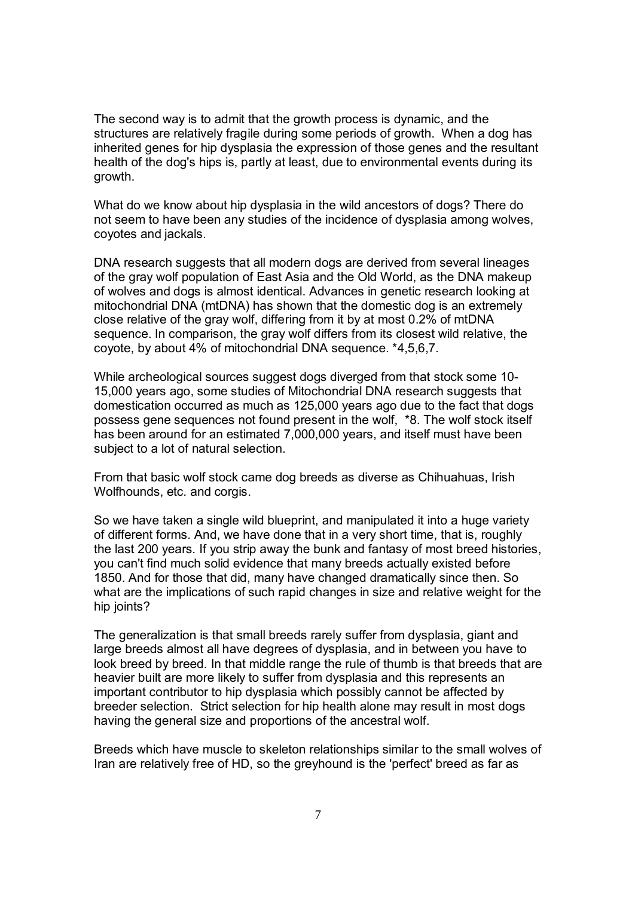The second way is to admit that the growth process is dynamic, and the structures are relatively fragile during some periods of growth. When a dog has inherited genes for hip dysplasia the expression of those genes and the resultant health of the dog's hips is, partly at least, due to environmental events during its growth.

What do we know about hip dysplasia in the wild ancestors of dogs? There do not seem to have been any studies of the incidence of dysplasia among wolves, coyotes and jackals.

DNA research suggests that all modern dogs are derived from several lineages of the gray wolf population of East Asia and the Old World, as the DNA makeup of wolves and dogs is almost identical. Advances in genetic research looking at mitochondrial DNA (mtDNA) has shown that the domestic dog is an extremely close relative of the gray wolf, differing from it by at most 0.2% of mtDNA sequence. In comparison, the gray wolf differs from its closest wild relative, the coyote, by about 4% of mitochondrial DNA sequence. \*4,5,6,7.

While archeological sources suggest dogs diverged from that stock some 10- 15,000 years ago, some studies of Mitochondrial DNA research suggests that domestication occurred as much as 125,000 years ago due to the fact that dogs possess gene sequences not found present in the wolf, \*8. The wolf stock itself has been around for an estimated 7,000,000 years, and itself must have been subject to a lot of natural selection.

From that basic wolf stock came dog breeds as diverse as Chihuahuas, Irish Wolfhounds, etc. and corgis.

So we have taken a single wild blueprint, and manipulated it into a huge variety of different forms. And, we have done that in a very short time, that is, roughly the last 200 years. If you strip away the bunk and fantasy of most breed histories, you can't find much solid evidence that many breeds actually existed before 1850. And for those that did, many have changed dramatically since then. So what are the implications of such rapid changes in size and relative weight for the hip joints?

The generalization is that small breeds rarely suffer from dysplasia, giant and large breeds almost all have degrees of dysplasia, and in between you have to look breed by breed. In that middle range the rule of thumb is that breeds that are heavier built are more likely to suffer from dysplasia and this represents an important contributor to hip dysplasia which possibly cannot be affected by breeder selection. Strict selection for hip health alone may result in most dogs having the general size and proportions of the ancestral wolf.

Breeds which have muscle to skeleton relationships similar to the small wolves of Iran are relatively free of HD, so the greyhound is the 'perfect' breed as far as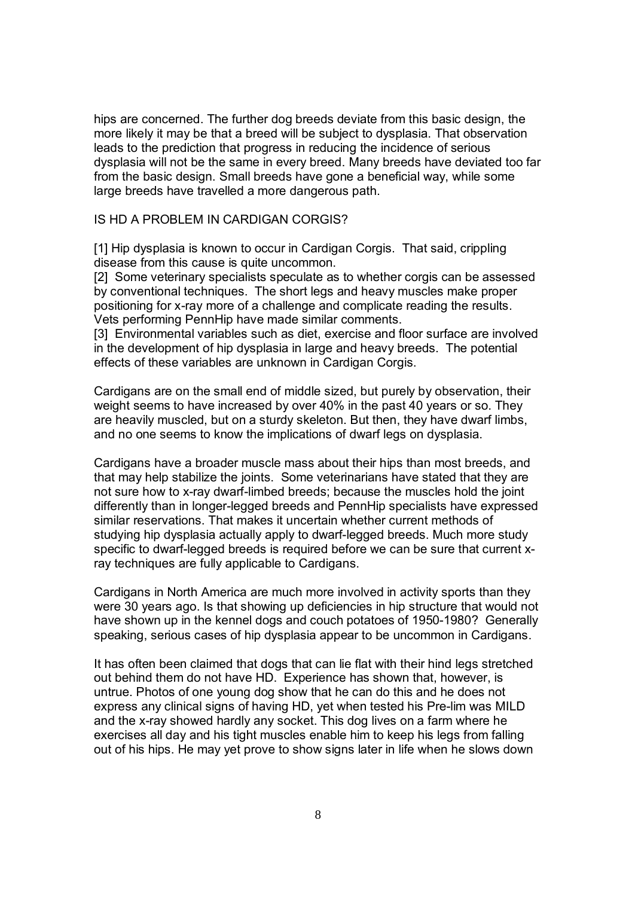hips are concerned. The further dog breeds deviate from this basic design, the more likely it may be that a breed will be subject to dysplasia. That observation leads to the prediction that progress in reducing the incidence of serious dysplasia will not be the same in every breed. Many breeds have deviated too far from the basic design. Small breeds have gone a beneficial way, while some large breeds have travelled a more dangerous path.

### IS HD A PROBLEM IN CARDIGAN CORGIS?

[1] Hip dysplasia is known to occur in Cardigan Corgis. That said, crippling disease from this cause is quite uncommon.

[2] Some veterinary specialists speculate as to whether corgis can be assessed by conventional techniques. The short legs and heavy muscles make proper positioning for x-ray more of a challenge and complicate reading the results. Vets performing PennHip have made similar comments.

[3] Environmental variables such as diet, exercise and floor surface are involved in the development of hip dysplasia in large and heavy breeds. The potential effects of these variables are unknown in Cardigan Corgis.

Cardigans are on the small end of middle sized, but purely by observation, their weight seems to have increased by over 40% in the past 40 years or so. They are heavily muscled, but on a sturdy skeleton. But then, they have dwarf limbs, and no one seems to know the implications of dwarf legs on dysplasia.

Cardigans have a broader muscle mass about their hips than most breeds, and that may help stabilize the joints. Some veterinarians have stated that they are not sure how to x-ray dwarf-limbed breeds; because the muscles hold the joint differently than in longer-legged breeds and PennHip specialists have expressed similar reservations. That makes it uncertain whether current methods of studying hip dysplasia actually apply to dwarf-legged breeds. Much more study specific to dwarf-legged breeds is required before we can be sure that current xray techniques are fully applicable to Cardigans.

Cardigans in North America are much more involved in activity sports than they were 30 years ago. Is that showing up deficiencies in hip structure that would not have shown up in the kennel dogs and couch potatoes of 1950-1980? Generally speaking, serious cases of hip dysplasia appear to be uncommon in Cardigans.

It has often been claimed that dogs that can lie flat with their hind legs stretched out behind them do not have HD. Experience has shown that, however, is untrue. Photos of one young dog show that he can do this and he does not express any clinical signs of having HD, yet when tested his Pre-lim was MILD and the x-ray showed hardly any socket. This dog lives on a farm where he exercises all day and his tight muscles enable him to keep his legs from falling out of his hips. He may yet prove to show signs later in life when he slows down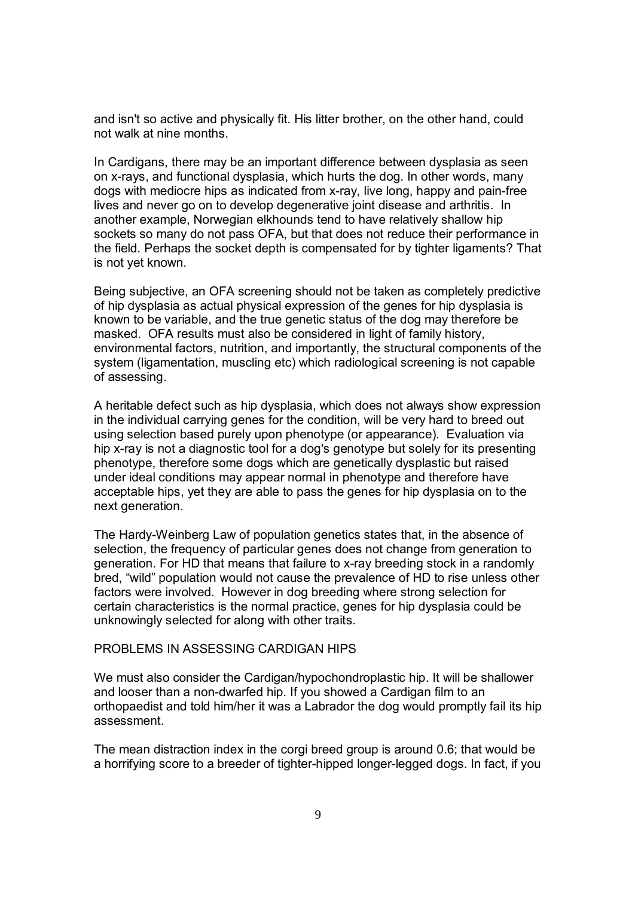and isn't so active and physically fit. His litter brother, on the other hand, could not walk at nine months.

In Cardigans, there may be an important difference between dysplasia as seen on x-rays, and functional dysplasia, which hurts the dog. In other words, many dogs with mediocre hips as indicated from x-ray, live long, happy and pain-free lives and never go on to develop degenerative joint disease and arthritis. In another example, Norwegian elkhounds tend to have relatively shallow hip sockets so many do not pass OFA, but that does not reduce their performance in the field. Perhaps the socket depth is compensated for by tighter ligaments? That is not yet known.

Being subjective, an OFA screening should not be taken as completely predictive of hip dysplasia as actual physical expression of the genes for hip dysplasia is known to be variable, and the true genetic status of the dog may therefore be masked. OFA results must also be considered in light of family history, environmental factors, nutrition, and importantly, the structural components of the system (ligamentation, muscling etc) which radiological screening is not capable of assessing.

A heritable defect such as hip dysplasia, which does not always show expression in the individual carrying genes for the condition, will be very hard to breed out using selection based purely upon phenotype (or appearance). Evaluation via hip x-ray is not a diagnostic tool for a dog's genotype but solely for its presenting phenotype, therefore some dogs which are genetically dysplastic but raised under ideal conditions may appear normal in phenotype and therefore have acceptable hips, yet they are able to pass the genes for hip dysplasia on to the next generation.

The Hardy-Weinberg Law of population genetics states that, in the absence of selection, the frequency of particular genes does not change from generation to generation. For HD that means that failure to x-ray breeding stock in a randomly bred, "wild" population would not cause the prevalence of HD to rise unless other factors were involved. However in dog breeding where strong selection for certain characteristics is the normal practice, genes for hip dysplasia could be unknowingly selected for along with other traits.

#### PROBLEMS IN ASSESSING CARDIGAN HIPS

We must also consider the Cardigan/hypochondroplastic hip. It will be shallower and looser than a non-dwarfed hip. If you showed a Cardigan film to an orthopaedist and told him/her it was a Labrador the dog would promptly fail its hip assessment.

The mean distraction index in the corgi breed group is around 0.6; that would be a horrifying score to a breeder of tighter-hipped longer-legged dogs. In fact, if you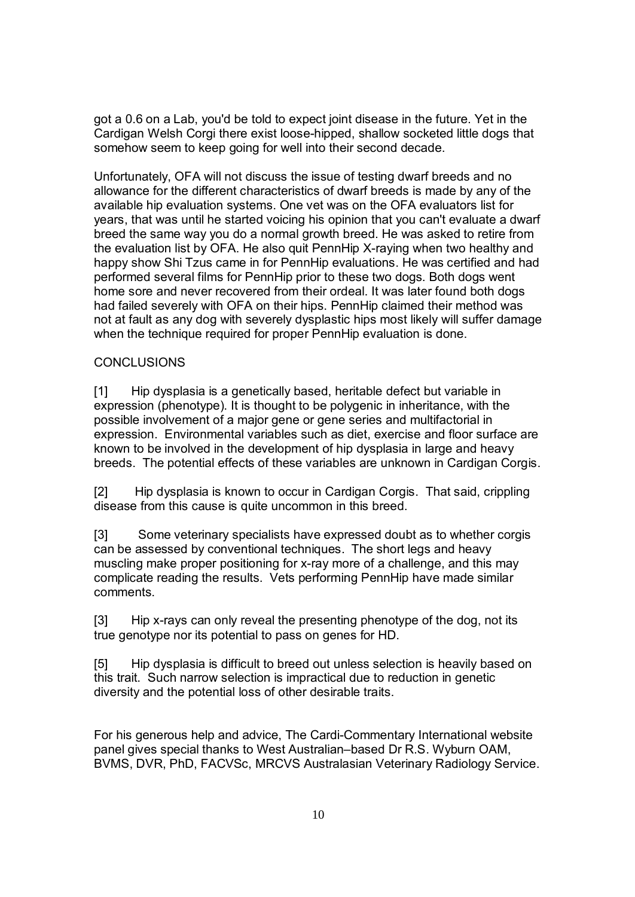got a 0.6 on a Lab, you'd be told to expect joint disease in the future. Yet in the Cardigan Welsh Corgi there exist loose-hipped, shallow socketed little dogs that somehow seem to keep going for well into their second decade.

Unfortunately, OFA will not discuss the issue of testing dwarf breeds and no allowance for the different characteristics of dwarf breeds is made by any of the available hip evaluation systems. One vet was on the OFA evaluators list for years, that was until he started voicing his opinion that you can't evaluate a dwarf breed the same way you do a normal growth breed. He was asked to retire from the evaluation list by OFA. He also quit PennHip X-raying when two healthy and happy show Shi Tzus came in for PennHip evaluations. He was certified and had performed several films for PennHip prior to these two dogs. Both dogs went home sore and never recovered from their ordeal. It was later found both dogs had failed severely with OFA on their hips. PennHip claimed their method was not at fault as any dog with severely dysplastic hips most likely will suffer damage when the technique required for proper PennHip evaluation is done.

## CONCLUSIONS

[1] Hip dysplasia is a genetically based, heritable defect but variable in expression (phenotype). It is thought to be polygenic in inheritance, with the possible involvement of a major gene or gene series and multifactorial in expression. Environmental variables such as diet, exercise and floor surface are known to be involved in the development of hip dysplasia in large and heavy breeds. The potential effects of these variables are unknown in Cardigan Corgis.

[2] Hip dysplasia is known to occur in Cardigan Corgis. That said, crippling disease from this cause is quite uncommon in this breed.

[3] Some veterinary specialists have expressed doubt as to whether corgis can be assessed by conventional techniques. The short legs and heavy muscling make proper positioning for x-ray more of a challenge, and this may complicate reading the results. Vets performing PennHip have made similar comments.

[3] Hip x-rays can only reveal the presenting phenotype of the dog, not its true genotype nor its potential to pass on genes for HD.

[5] Hip dysplasia is difficult to breed out unless selection is heavily based on this trait. Such narrow selection is impractical due to reduction in genetic diversity and the potential loss of other desirable traits.

For his generous help and advice, The Cardi-Commentary International website panel gives special thanks to West Australian–based Dr R.S. Wyburn OAM, BVMS, DVR, PhD, FACVSc, MRCVS Australasian Veterinary Radiology Service.